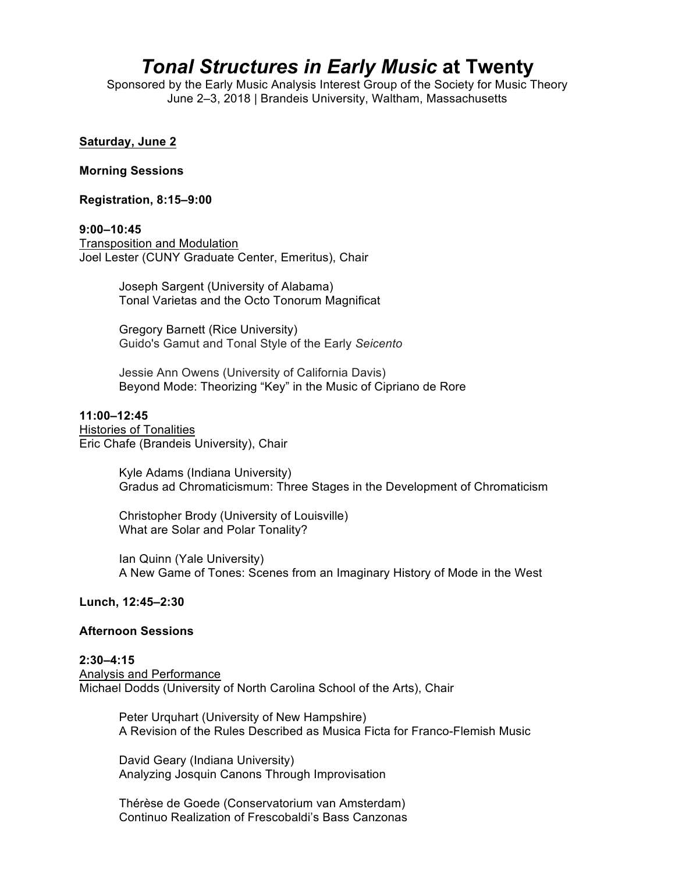# *Tonal Structures in Early Music* **at Twenty**

Sponsored by the Early Music Analysis Interest Group of the Society for Music Theory June 2–3, 2018 | Brandeis University, Waltham, Massachusetts

# **Saturday, June 2**

#### **Morning Sessions**

**Registration, 8:15–9:00**

#### **9:00–10:45**

Transposition and Modulation Joel Lester (CUNY Graduate Center, Emeritus), Chair

> Joseph Sargent (University of Alabama) Tonal Varietas and the Octo Tonorum Magnificat

Gregory Barnett (Rice University) Guido's Gamut and Tonal Style of the Early *Seicento*

Jessie Ann Owens (University of California Davis) Beyond Mode: Theorizing "Key" in the Music of Cipriano de Rore

#### **11:00–12:45**

Histories of Tonalities Eric Chafe (Brandeis University), Chair

> Kyle Adams (Indiana University) Gradus ad Chromaticismum: Three Stages in the Development of Chromaticism

Christopher Brody (University of Louisville) What are Solar and Polar Tonality?

Ian Quinn (Yale University) A New Game of Tones: Scenes from an Imaginary History of Mode in the West

# **Lunch, 12:45–2:30**

#### **Afternoon Sessions**

**2:30–4:15** Analysis and Performance Michael Dodds (University of North Carolina School of the Arts), Chair

> Peter Urquhart (University of New Hampshire) A Revision of the Rules Described as Musica Ficta for Franco-Flemish Music

David Geary (Indiana University) Analyzing Josquin Canons Through Improvisation

Thérèse de Goede (Conservatorium van Amsterdam) Continuo Realization of Frescobaldi's Bass Canzonas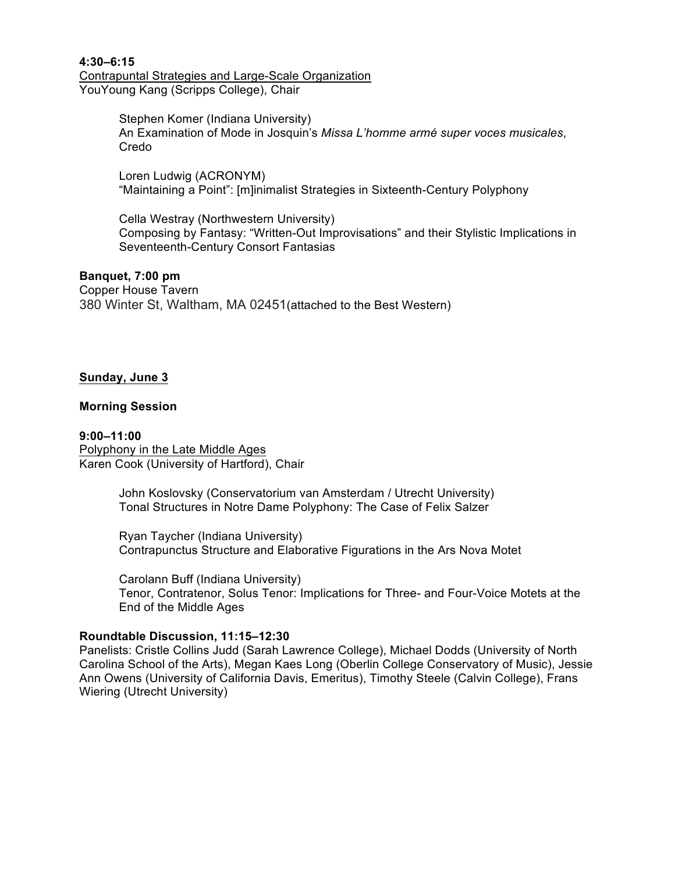**4:30–6:15** Contrapuntal Strategies and Large-Scale Organization YouYoung Kang (Scripps College), Chair

> Stephen Komer (Indiana University) An Examination of Mode in Josquin's *Missa L'homme armé super voces musicales*, Credo

Loren Ludwig (ACRONYM) "Maintaining a Point": [m]inimalist Strategies in Sixteenth-Century Polyphony

Cella Westray (Northwestern University) Composing by Fantasy: "Written-Out Improvisations" and their Stylistic Implications in Seventeenth-Century Consort Fantasias

# **Banquet, 7:00 pm**

Copper House Tavern 380 Winter St, Waltham, MA 02451(attached to the Best Western)

# **Sunday, June 3**

# **Morning Session**

**9:00–11:00** Polyphony in the Late Middle Ages Karen Cook (University of Hartford), Chair

> John Koslovsky (Conservatorium van Amsterdam / Utrecht University) Tonal Structures in Notre Dame Polyphony: The Case of Felix Salzer

Ryan Taycher (Indiana University) Contrapunctus Structure and Elaborative Figurations in the Ars Nova Motet

Carolann Buff (Indiana University) Tenor, Contratenor, Solus Tenor: Implications for Three- and Four-Voice Motets at the End of the Middle Ages

# **Roundtable Discussion, 11:15–12:30**

Panelists: Cristle Collins Judd (Sarah Lawrence College), Michael Dodds (University of North Carolina School of the Arts), Megan Kaes Long (Oberlin College Conservatory of Music), Jessie Ann Owens (University of California Davis, Emeritus), Timothy Steele (Calvin College), Frans Wiering (Utrecht University)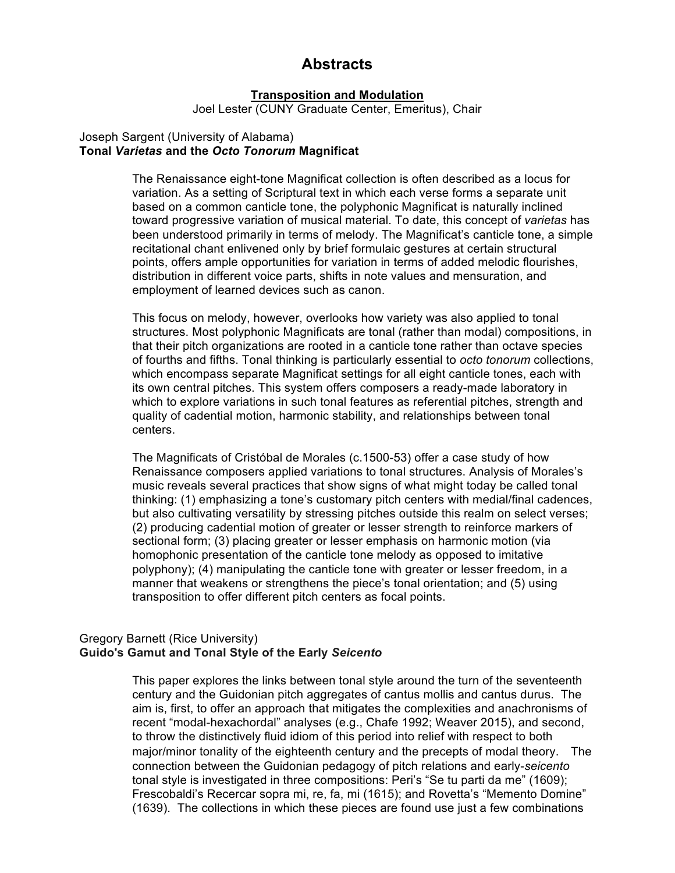# **Abstracts**

## **Transposition and Modulation**

Joel Lester (CUNY Graduate Center, Emeritus), Chair

#### Joseph Sargent (University of Alabama) **Tonal** *Varietas* **and the** *Octo Tonorum* **Magnificat**

The Renaissance eight-tone Magnificat collection is often described as a locus for variation. As a setting of Scriptural text in which each verse forms a separate unit based on a common canticle tone, the polyphonic Magnificat is naturally inclined toward progressive variation of musical material. To date, this concept of *varietas* has been understood primarily in terms of melody. The Magnificat's canticle tone, a simple recitational chant enlivened only by brief formulaic gestures at certain structural points, offers ample opportunities for variation in terms of added melodic flourishes, distribution in different voice parts, shifts in note values and mensuration, and employment of learned devices such as canon.

This focus on melody, however, overlooks how variety was also applied to tonal structures. Most polyphonic Magnificats are tonal (rather than modal) compositions, in that their pitch organizations are rooted in a canticle tone rather than octave species of fourths and fifths. Tonal thinking is particularly essential to *octo tonorum* collections, which encompass separate Magnificat settings for all eight canticle tones, each with its own central pitches. This system offers composers a ready-made laboratory in which to explore variations in such tonal features as referential pitches, strength and quality of cadential motion, harmonic stability, and relationships between tonal centers.

The Magnificats of Cristóbal de Morales (c.1500-53) offer a case study of how Renaissance composers applied variations to tonal structures. Analysis of Morales's music reveals several practices that show signs of what might today be called tonal thinking: (1) emphasizing a tone's customary pitch centers with medial/final cadences, but also cultivating versatility by stressing pitches outside this realm on select verses; (2) producing cadential motion of greater or lesser strength to reinforce markers of sectional form; (3) placing greater or lesser emphasis on harmonic motion (via homophonic presentation of the canticle tone melody as opposed to imitative polyphony); (4) manipulating the canticle tone with greater or lesser freedom, in a manner that weakens or strengthens the piece's tonal orientation; and (5) using transposition to offer different pitch centers as focal points.

# Gregory Barnett (Rice University) **Guido's Gamut and Tonal Style of the Early** *Seicento*

This paper explores the links between tonal style around the turn of the seventeenth century and the Guidonian pitch aggregates of cantus mollis and cantus durus. The aim is, first, to offer an approach that mitigates the complexities and anachronisms of recent "modal-hexachordal" analyses (e.g., Chafe 1992; Weaver 2015), and second, to throw the distinctively fluid idiom of this period into relief with respect to both major/minor tonality of the eighteenth century and the precepts of modal theory. The connection between the Guidonian pedagogy of pitch relations and early-*seicento* tonal style is investigated in three compositions: Peri's "Se tu parti da me" (1609); Frescobaldi's Recercar sopra mi, re, fa, mi (1615); and Rovetta's "Memento Domine" (1639). The collections in which these pieces are found use just a few combinations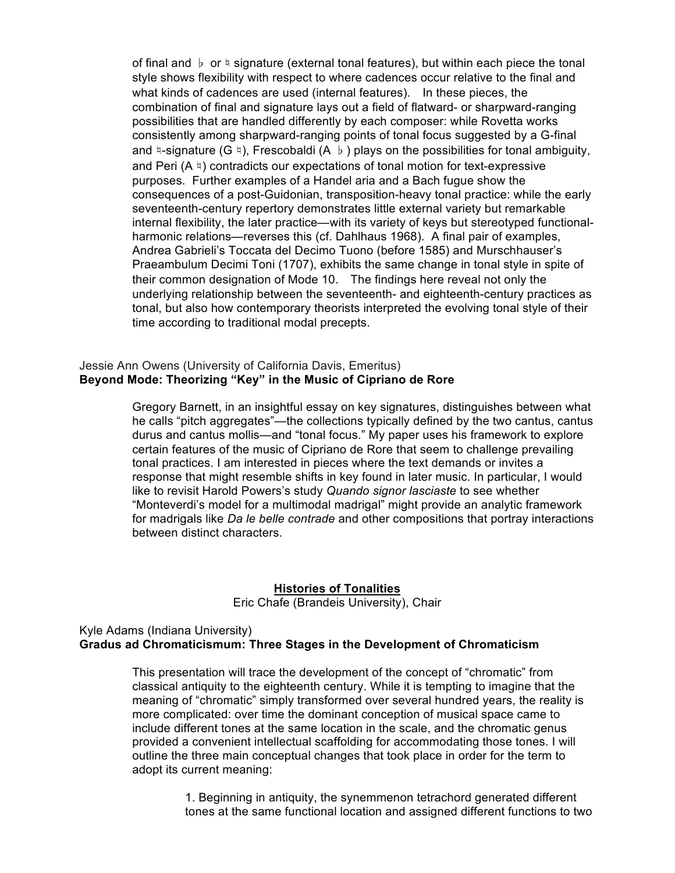of final and ♭ or ♮ signature (external tonal features), but within each piece the tonal style shows flexibility with respect to where cadences occur relative to the final and what kinds of cadences are used (internal features). In these pieces, the combination of final and signature lays out a field of flatward- or sharpward-ranging possibilities that are handled differently by each composer: while Rovetta works consistently among sharpward-ranging points of tonal focus suggested by a G-final and  $\natural$ -signature (G  $\natural$ ), Frescobaldi (A  $\natural$ ) plays on the possibilities for tonal ambiguity, and Peri  $(A \nvert)$  contradicts our expectations of tonal motion for text-expressive purposes. Further examples of a Handel aria and a Bach fugue show the consequences of a post-Guidonian, transposition-heavy tonal practice: while the early seventeenth-century repertory demonstrates little external variety but remarkable internal flexibility, the later practice—with its variety of keys but stereotyped functionalharmonic relations—reverses this (cf. Dahlhaus 1968). A final pair of examples, Andrea Gabrieli's Toccata del Decimo Tuono (before 1585) and Murschhauser's Praeambulum Decimi Toni (1707), exhibits the same change in tonal style in spite of their common designation of Mode 10. The findings here reveal not only the underlying relationship between the seventeenth- and eighteenth-century practices as tonal, but also how contemporary theorists interpreted the evolving tonal style of their time according to traditional modal precepts.

# Jessie Ann Owens (University of California Davis, Emeritus) **Beyond Mode: Theorizing "Key" in the Music of Cipriano de Rore**

Gregory Barnett, in an insightful essay on key signatures, distinguishes between what he calls "pitch aggregates"—the collections typically defined by the two cantus, cantus durus and cantus mollis—and "tonal focus." My paper uses his framework to explore certain features of the music of Cipriano de Rore that seem to challenge prevailing tonal practices. I am interested in pieces where the text demands or invites a response that might resemble shifts in key found in later music. In particular, I would like to revisit Harold Powers's study *Quando signor lasciaste* to see whether "Monteverdi's model for a multimodal madrigal" might provide an analytic framework for madrigals like *Da le belle contrade* and other compositions that portray interactions between distinct characters.

# **Histories of Tonalities** Eric Chafe (Brandeis University), Chair

# Kyle Adams (Indiana University) **Gradus ad Chromaticismum: Three Stages in the Development of Chromaticism**

This presentation will trace the development of the concept of "chromatic" from classical antiquity to the eighteenth century. While it is tempting to imagine that the meaning of "chromatic" simply transformed over several hundred years, the reality is more complicated: over time the dominant conception of musical space came to include different tones at the same location in the scale, and the chromatic genus provided a convenient intellectual scaffolding for accommodating those tones. I will outline the three main conceptual changes that took place in order for the term to adopt its current meaning:

> 1. Beginning in antiquity, the synemmenon tetrachord generated different tones at the same functional location and assigned different functions to two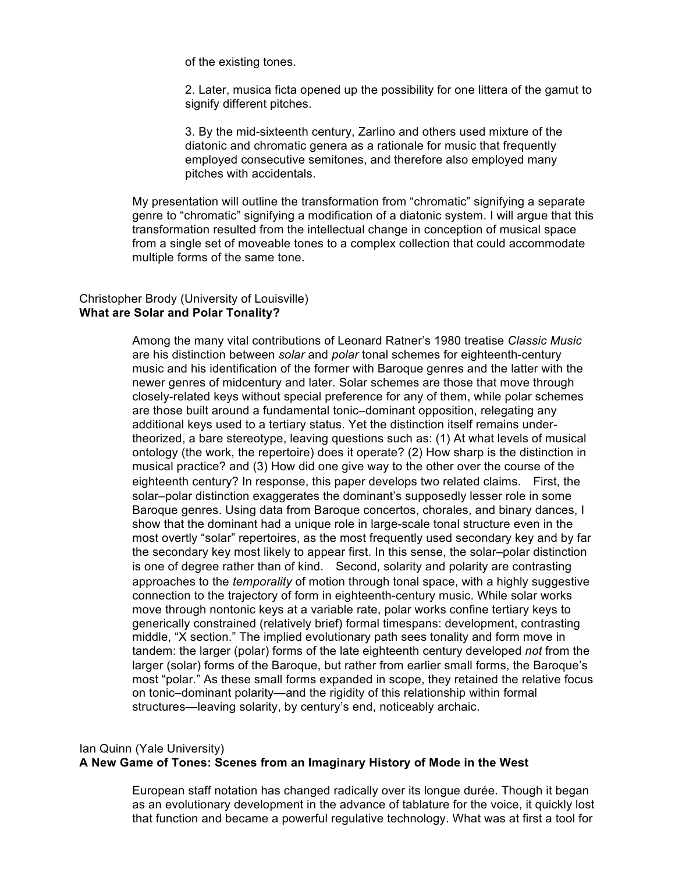of the existing tones.

2. Later, musica ficta opened up the possibility for one littera of the gamut to signify different pitches.

3. By the mid-sixteenth century, Zarlino and others used mixture of the diatonic and chromatic genera as a rationale for music that frequently employed consecutive semitones, and therefore also employed many pitches with accidentals.

My presentation will outline the transformation from "chromatic" signifying a separate genre to "chromatic" signifying a modification of a diatonic system. I will argue that this transformation resulted from the intellectual change in conception of musical space from a single set of moveable tones to a complex collection that could accommodate multiple forms of the same tone.

# Christopher Brody (University of Louisville) **What are Solar and Polar Tonality?**

Among the many vital contributions of Leonard Ratner's 1980 treatise *Classic Music* are his distinction between *solar* and *polar* tonal schemes for eighteenth-century music and his identification of the former with Baroque genres and the latter with the newer genres of midcentury and later. Solar schemes are those that move through closely-related keys without special preference for any of them, while polar schemes are those built around a fundamental tonic–dominant opposition, relegating any additional keys used to a tertiary status. Yet the distinction itself remains undertheorized, a bare stereotype, leaving questions such as: (1) At what levels of musical ontology (the work, the repertoire) does it operate? (2) How sharp is the distinction in musical practice? and (3) How did one give way to the other over the course of the eighteenth century? In response, this paper develops two related claims. First, the solar–polar distinction exaggerates the dominant's supposedly lesser role in some Baroque genres. Using data from Baroque concertos, chorales, and binary dances, I show that the dominant had a unique role in large-scale tonal structure even in the most overtly "solar" repertoires, as the most frequently used secondary key and by far the secondary key most likely to appear first. In this sense, the solar–polar distinction is one of degree rather than of kind. Second, solarity and polarity are contrasting approaches to the *temporality* of motion through tonal space, with a highly suggestive connection to the trajectory of form in eighteenth-century music. While solar works move through nontonic keys at a variable rate, polar works confine tertiary keys to generically constrained (relatively brief) formal timespans: development, contrasting middle, "X section." The implied evolutionary path sees tonality and form move in tandem: the larger (polar) forms of the late eighteenth century developed *not* from the larger (solar) forms of the Baroque, but rather from earlier small forms, the Baroque's most "polar." As these small forms expanded in scope, they retained the relative focus on tonic–dominant polarity—and the rigidity of this relationship within formal structures—leaving solarity, by century's end, noticeably archaic.

# Ian Quinn (Yale University) **A New Game of Tones: Scenes from an Imaginary History of Mode in the West**

European staff notation has changed radically over its longue durée. Though it began as an evolutionary development in the advance of tablature for the voice, it quickly lost that function and became a powerful regulative technology. What was at first a tool for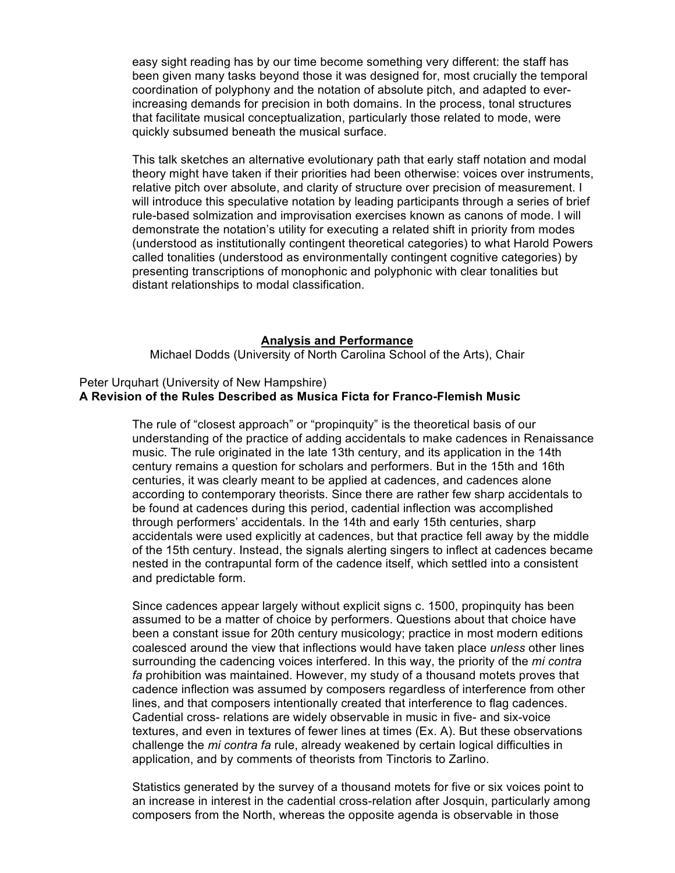easy sight reading has by our time become something very different: the staff has been given many tasks beyond those it was designed for, most crucially the temporal coordination of polyphony and the notation of absolute pitch, and adapted to everincreasing demands for precision in both domains. In the process, tonal structures that facilitate musical conceptualization, particularly those related to mode, were quickly subsumed beneath the musical surface.

This talk sketches an alternative evolutionary path that early staff notation and modal theory might have taken if their priorities had been otherwise: voices over instruments, relative pitch over absolute, and clarity of structure over precision of measurement. I will introduce this speculative notation by leading participants through a series of brief rule-based solmization and improvisation exercises known as canons of mode. I will demonstrate the notation's utility for executing a related shift in priority from modes (understood as institutionally contingent theoretical categories) to what Harold Powers called tonalities (understood as environmentally contingent cognitive categories) by presenting transcriptions of monophonic and polyphonic with clear tonalities but distant relationships to modal classification.

#### **Analysis and Performance**

Michael Dodds (University of North Carolina School of the Arts), Chair

# Peter Urquhart (University of New Hampshire) **A Revision of the Rules Described as Musica Ficta for Franco-Flemish Music**

The rule of "closest approach" or "propinquity" is the theoretical basis of our understanding of the practice of adding accidentals to make cadences in Renaissance music. The rule originated in the late 13th century, and its application in the 14th century remains a question for scholars and performers. But in the 15th and 16th centuries, it was clearly meant to be applied at cadences, and cadences alone according to contemporary theorists. Since there are rather few sharp accidentals to be found at cadences during this period, cadential inflection was accomplished through performers' accidentals. In the 14th and early 15th centuries, sharp accidentals were used explicitly at cadences, but that practice fell away by the middle of the 15th century. Instead, the signals alerting singers to inflect at cadences became nested in the contrapuntal form of the cadence itself, which settled into a consistent and predictable form.

Since cadences appear largely without explicit signs c. 1500, propinquity has been assumed to be a matter of choice by performers. Questions about that choice have been a constant issue for 20th century musicology; practice in most modern editions coalesced around the view that inflections would have taken place *unless* other lines surrounding the cadencing voices interfered. In this way, the priority of the *mi contra fa* prohibition was maintained. However, my study of a thousand motets proves that cadence inflection was assumed by composers regardless of interference from other lines, and that composers intentionally created that interference to flag cadences. Cadential cross- relations are widely observable in music in five- and six-voice textures, and even in textures of fewer lines at times (Ex. A). But these observations challenge the *mi contra fa* rule, already weakened by certain logical difficulties in application, and by comments of theorists from Tinctoris to Zarlino.

Statistics generated by the survey of a thousand motets for five or six voices point to an increase in interest in the cadential cross-relation after Josquin, particularly among composers from the North, whereas the opposite agenda is observable in those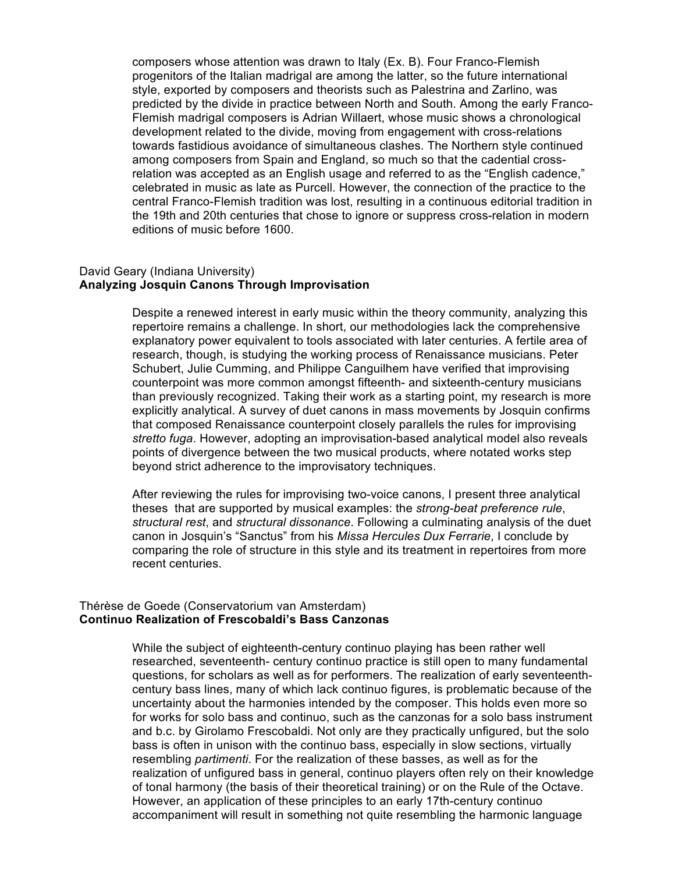composers whose attention was drawn to Italy (Ex. B). Four Franco-Flemish progenitors of the Italian madrigal are among the latter, so the future international style, exported by composers and theorists such as Palestrina and Zarlino, was predicted by the divide in practice between North and South. Among the early Franco-Flemish madrigal composers is Adrian Willaert, whose music shows a chronological development related to the divide, moving from engagement with cross-relations towards fastidious avoidance of simultaneous clashes. The Northern style continued among composers from Spain and England, so much so that the cadential crossrelation was accepted as an English usage and referred to as the "English cadence," celebrated in music as late as Purcell. However, the connection of the practice to the central Franco-Flemish tradition was lost, resulting in a continuous editorial tradition in the 19th and 20th centuries that chose to ignore or suppress cross-relation in modern editions of music before 1600.

# David Geary (Indiana University) **Analyzing Josquin Canons Through Improvisation**

Despite a renewed interest in early music within the theory community, analyzing this repertoire remains a challenge. In short, our methodologies lack the comprehensive explanatory power equivalent to tools associated with later centuries. A fertile area of research, though, is studying the working process of Renaissance musicians. Peter Schubert, Julie Cumming, and Philippe Canguilhem have verified that improvising counterpoint was more common amongst fifteenth- and sixteenth-century musicians than previously recognized. Taking their work as a starting point, my research is more explicitly analytical. A survey of duet canons in mass movements by Josquin confirms that composed Renaissance counterpoint closely parallels the rules for improvising *stretto fuga*. However, adopting an improvisation-based analytical model also reveals points of divergence between the two musical products, where notated works step beyond strict adherence to the improvisatory techniques.

After reviewing the rules for improvising two-voice canons, I present three analytical theses that are supported by musical examples: the *strong-beat preference rule*, *structural rest*, and *structural dissonance*. Following a culminating analysis of the duet canon in Josquin's "Sanctus" from his *Missa Hercules Dux Ferrarie*, I conclude by comparing the role of structure in this style and its treatment in repertoires from more recent centuries.

# Thérèse de Goede (Conservatorium van Amsterdam) **Continuo Realization of Frescobaldi's Bass Canzonas**

While the subject of eighteenth-century continuo playing has been rather well researched, seventeenth- century continuo practice is still open to many fundamental questions, for scholars as well as for performers. The realization of early seventeenthcentury bass lines, many of which lack continuo figures, is problematic because of the uncertainty about the harmonies intended by the composer. This holds even more so for works for solo bass and continuo, such as the canzonas for a solo bass instrument and b.c. by Girolamo Frescobaldi. Not only are they practically unfigured, but the solo bass is often in unison with the continuo bass, especially in slow sections, virtually resembling *partimenti*. For the realization of these basses, as well as for the realization of unfigured bass in general, continuo players often rely on their knowledge of tonal harmony (the basis of their theoretical training) or on the Rule of the Octave. However, an application of these principles to an early 17th-century continuo accompaniment will result in something not quite resembling the harmonic language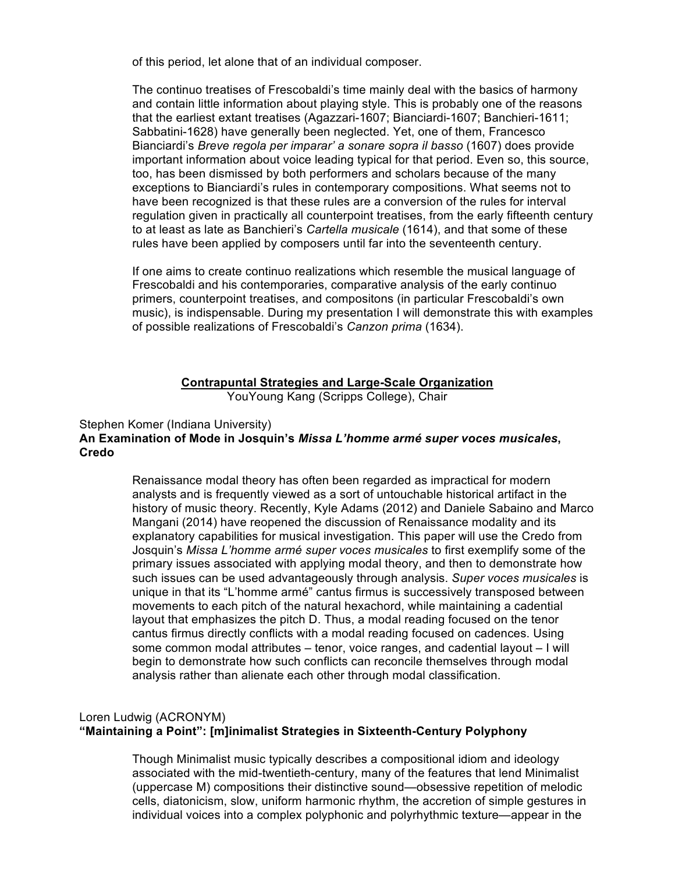of this period, let alone that of an individual composer.

The continuo treatises of Frescobaldi's time mainly deal with the basics of harmony and contain little information about playing style. This is probably one of the reasons that the earliest extant treatises (Agazzari-1607; Bianciardi-1607; Banchieri-1611; Sabbatini-1628) have generally been neglected. Yet, one of them, Francesco Bianciardi's *Breve regola per imparar' a sonare sopra il basso* (1607) does provide important information about voice leading typical for that period. Even so, this source, too, has been dismissed by both performers and scholars because of the many exceptions to Bianciardi's rules in contemporary compositions. What seems not to have been recognized is that these rules are a conversion of the rules for interval regulation given in practically all counterpoint treatises, from the early fifteenth century to at least as late as Banchieri's *Cartella musicale* (1614), and that some of these rules have been applied by composers until far into the seventeenth century.

If one aims to create continuo realizations which resemble the musical language of Frescobaldi and his contemporaries, comparative analysis of the early continuo primers, counterpoint treatises, and compositons (in particular Frescobaldi's own music), is indispensable. During my presentation I will demonstrate this with examples of possible realizations of Frescobaldi's *Canzon prima* (1634).

# **Contrapuntal Strategies and Large-Scale Organization**

YouYoung Kang (Scripps College), Chair

# Stephen Komer (Indiana University) **An Examination of Mode in Josquin's** *Missa L'homme armé super voces musicales***, Credo**

Renaissance modal theory has often been regarded as impractical for modern analysts and is frequently viewed as a sort of untouchable historical artifact in the history of music theory. Recently, Kyle Adams (2012) and Daniele Sabaino and Marco Mangani (2014) have reopened the discussion of Renaissance modality and its explanatory capabilities for musical investigation. This paper will use the Credo from Josquin's *Missa L'homme armé super voces musicales* to first exemplify some of the primary issues associated with applying modal theory, and then to demonstrate how such issues can be used advantageously through analysis. *Super voces musicales* is unique in that its "L'homme armé" cantus firmus is successively transposed between movements to each pitch of the natural hexachord, while maintaining a cadential layout that emphasizes the pitch D. Thus, a modal reading focused on the tenor cantus firmus directly conflicts with a modal reading focused on cadences. Using some common modal attributes – tenor, voice ranges, and cadential layout – I will begin to demonstrate how such conflicts can reconcile themselves through modal analysis rather than alienate each other through modal classification.

# Loren Ludwig (ACRONYM) **"Maintaining a Point": [m]inimalist Strategies in Sixteenth-Century Polyphony**

Though Minimalist music typically describes a compositional idiom and ideology associated with the mid-twentieth-century, many of the features that lend Minimalist (uppercase M) compositions their distinctive sound—obsessive repetition of melodic cells, diatonicism, slow, uniform harmonic rhythm, the accretion of simple gestures in individual voices into a complex polyphonic and polyrhythmic texture—appear in the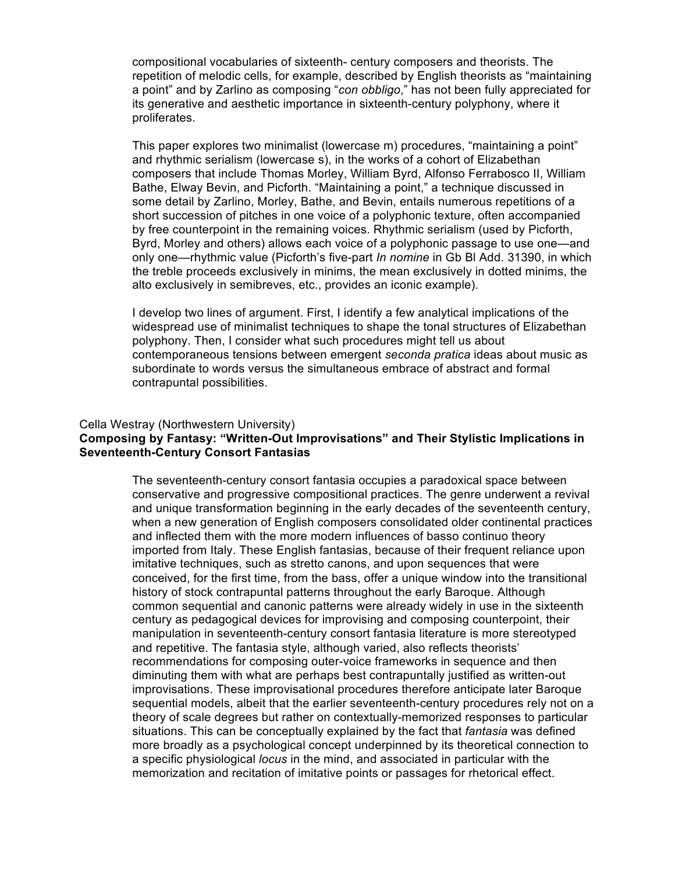compositional vocabularies of sixteenth- century composers and theorists. The repetition of melodic cells, for example, described by English theorists as "maintaining a point" and by Zarlino as composing "*con obbligo*," has not been fully appreciated for its generative and aesthetic importance in sixteenth-century polyphony, where it proliferates.

This paper explores two minimalist (lowercase m) procedures, "maintaining a point" and rhythmic serialism (lowercase s), in the works of a cohort of Elizabethan composers that include Thomas Morley, William Byrd, Alfonso Ferrabosco II, William Bathe, Elway Bevin, and Picforth. "Maintaining a point," a technique discussed in some detail by Zarlino, Morley, Bathe, and Bevin, entails numerous repetitions of a short succession of pitches in one voice of a polyphonic texture, often accompanied by free counterpoint in the remaining voices. Rhythmic serialism (used by Picforth, Byrd, Morley and others) allows each voice of a polyphonic passage to use one—and only one—rhythmic value (Picforth's five-part *In nomine* in Gb Bl Add. 31390, in which the treble proceeds exclusively in minims, the mean exclusively in dotted minims, the alto exclusively in semibreves, etc., provides an iconic example).

I develop two lines of argument. First, I identify a few analytical implications of the widespread use of minimalist techniques to shape the tonal structures of Elizabethan polyphony. Then, I consider what such procedures might tell us about contemporaneous tensions between emergent *seconda pratica* ideas about music as subordinate to words versus the simultaneous embrace of abstract and formal contrapuntal possibilities.

#### Cella Westray (Northwestern University)

# **Composing by Fantasy: "Written-Out Improvisations" and Their Stylistic Implications in Seventeenth-Century Consort Fantasias**

The seventeenth-century consort fantasia occupies a paradoxical space between conservative and progressive compositional practices. The genre underwent a revival and unique transformation beginning in the early decades of the seventeenth century, when a new generation of English composers consolidated older continental practices and inflected them with the more modern influences of basso continuo theory imported from Italy. These English fantasias, because of their frequent reliance upon imitative techniques, such as stretto canons, and upon sequences that were conceived, for the first time, from the bass, offer a unique window into the transitional history of stock contrapuntal patterns throughout the early Baroque. Although common sequential and canonic patterns were already widely in use in the sixteenth century as pedagogical devices for improvising and composing counterpoint, their manipulation in seventeenth-century consort fantasia literature is more stereotyped and repetitive. The fantasia style, although varied, also reflects theorists' recommendations for composing outer-voice frameworks in sequence and then diminuting them with what are perhaps best contrapuntally justified as written-out improvisations. These improvisational procedures therefore anticipate later Baroque sequential models, albeit that the earlier seventeenth-century procedures rely not on a theory of scale degrees but rather on contextually-memorized responses to particular situations. This can be conceptually explained by the fact that *fantasia* was defined more broadly as a psychological concept underpinned by its theoretical connection to a specific physiological *locus* in the mind, and associated in particular with the memorization and recitation of imitative points or passages for rhetorical effect.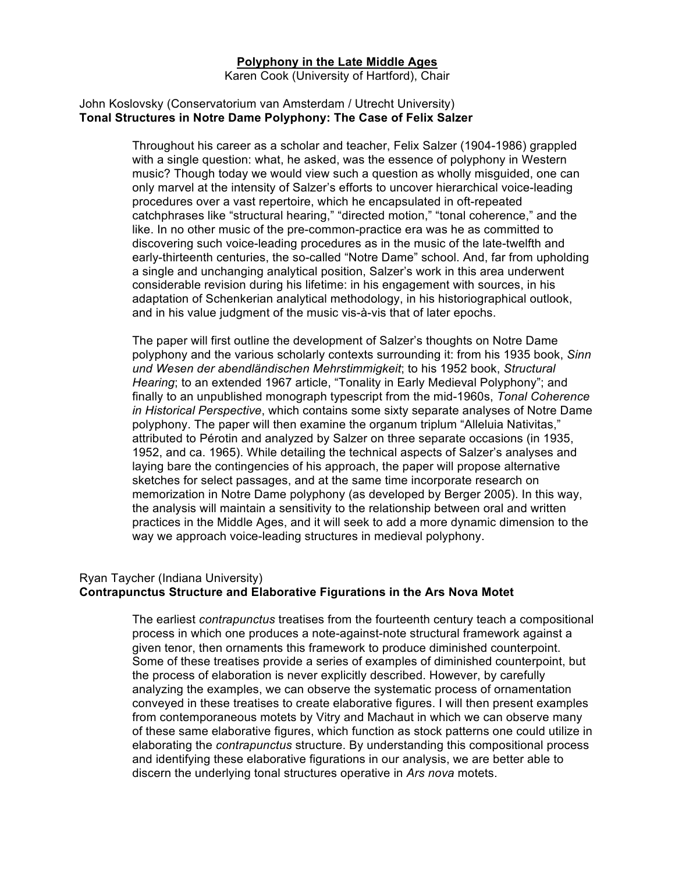## **Polyphony in the Late Middle Ages**

Karen Cook (University of Hartford), Chair

### John Koslovsky (Conservatorium van Amsterdam / Utrecht University) **Tonal Structures in Notre Dame Polyphony: The Case of Felix Salzer**

Throughout his career as a scholar and teacher, Felix Salzer (1904-1986) grappled with a single question: what, he asked, was the essence of polyphony in Western music? Though today we would view such a question as wholly misguided, one can only marvel at the intensity of Salzer's efforts to uncover hierarchical voice-leading procedures over a vast repertoire, which he encapsulated in oft-repeated catchphrases like "structural hearing," "directed motion," "tonal coherence," and the like. In no other music of the pre-common-practice era was he as committed to discovering such voice-leading procedures as in the music of the late-twelfth and early-thirteenth centuries, the so-called "Notre Dame" school. And, far from upholding a single and unchanging analytical position, Salzer's work in this area underwent considerable revision during his lifetime: in his engagement with sources, in his adaptation of Schenkerian analytical methodology, in his historiographical outlook, and in his value judgment of the music vis-à-vis that of later epochs.

The paper will first outline the development of Salzer's thoughts on Notre Dame polyphony and the various scholarly contexts surrounding it: from his 1935 book, *Sinn und Wesen der abendländischen Mehrstimmigkeit*; to his 1952 book, *Structural Hearing*; to an extended 1967 article, "Tonality in Early Medieval Polyphony"; and finally to an unpublished monograph typescript from the mid-1960s, *Tonal Coherence in Historical Perspective*, which contains some sixty separate analyses of Notre Dame polyphony. The paper will then examine the organum triplum "Alleluia Nativitas," attributed to Pérotin and analyzed by Salzer on three separate occasions (in 1935, 1952, and ca. 1965). While detailing the technical aspects of Salzer's analyses and laying bare the contingencies of his approach, the paper will propose alternative sketches for select passages, and at the same time incorporate research on memorization in Notre Dame polyphony (as developed by Berger 2005). In this way, the analysis will maintain a sensitivity to the relationship between oral and written practices in the Middle Ages, and it will seek to add a more dynamic dimension to the way we approach voice-leading structures in medieval polyphony.

# Ryan Taycher (Indiana University) **Contrapunctus Structure and Elaborative Figurations in the Ars Nova Motet**

The earliest *contrapunctus* treatises from the fourteenth century teach a compositional process in which one produces a note-against-note structural framework against a given tenor, then ornaments this framework to produce diminished counterpoint. Some of these treatises provide a series of examples of diminished counterpoint, but the process of elaboration is never explicitly described. However, by carefully analyzing the examples, we can observe the systematic process of ornamentation conveyed in these treatises to create elaborative figures. I will then present examples from contemporaneous motets by Vitry and Machaut in which we can observe many of these same elaborative figures, which function as stock patterns one could utilize in elaborating the *contrapunctus* structure. By understanding this compositional process and identifying these elaborative figurations in our analysis, we are better able to discern the underlying tonal structures operative in *Ars nova* motets.